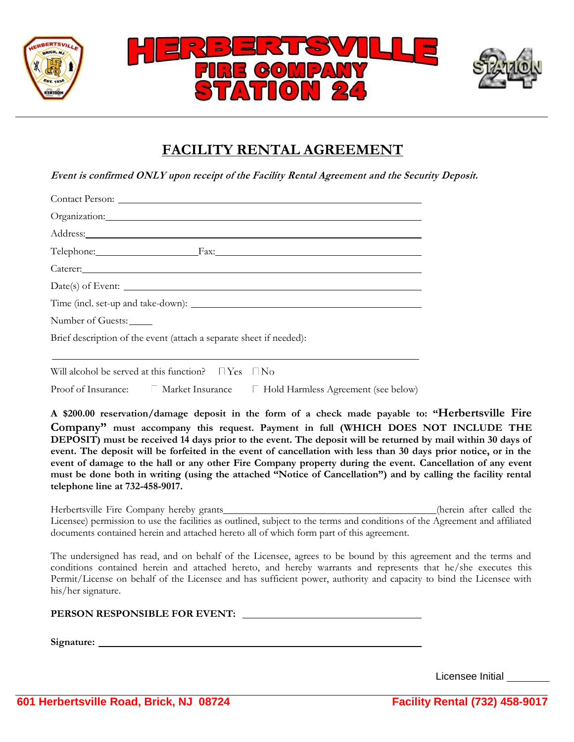

# **FACILITY RENTAL AGREEMENT**

**Event is confirmed ONLY upon receipt of the Facility Rental Agreement and the Security Deposit.**

| Address: No. 1996. The Commission of the Commission of the Commission of the Commission of the Commission of the Commission of the Commission of the Commission of the Commission of the Commission of the Commission of the C<br>Telephone: Fax: Fax:<br>Caterer: 2000 Caterer: 2000 Caterer: 2000 Caterer: 2000 Caterer: 2000 Caterer: 2000 Caterer: 2000 Caterer: 2000 Caterer: 2000 Caterer: 2000 Caterer: 2000 Caterer: 2000 Caterer: 2000 Caterer: 2000 Caterer: 2000 Caterer: 200 |                   |  |
|------------------------------------------------------------------------------------------------------------------------------------------------------------------------------------------------------------------------------------------------------------------------------------------------------------------------------------------------------------------------------------------------------------------------------------------------------------------------------------------|-------------------|--|
|                                                                                                                                                                                                                                                                                                                                                                                                                                                                                          |                   |  |
|                                                                                                                                                                                                                                                                                                                                                                                                                                                                                          |                   |  |
|                                                                                                                                                                                                                                                                                                                                                                                                                                                                                          |                   |  |
|                                                                                                                                                                                                                                                                                                                                                                                                                                                                                          |                   |  |
|                                                                                                                                                                                                                                                                                                                                                                                                                                                                                          |                   |  |
|                                                                                                                                                                                                                                                                                                                                                                                                                                                                                          |                   |  |
|                                                                                                                                                                                                                                                                                                                                                                                                                                                                                          | Number of Guests: |  |
| Brief description of the event (attach a separate sheet if needed):                                                                                                                                                                                                                                                                                                                                                                                                                      |                   |  |

Will alcohol be served at this function?  $\Box$  Yes  $\Box$  No

Proof of Insurance:  $\Box$  Market Insurance  $\Box$  Hold Harmless Agreement (see below)

**A \$200.00 reservation/damage deposit in the form of a check made payable to: "Herbertsville Fire Company" must accompany this request. Payment in full (WHICH DOES NOT INCLUDE THE DEPOSIT) must be received 14 days prior to the event. The deposit will be returned by mail within 30 days of event. The deposit will be forfeited in the event of cancellation with less than 30 days prior notice, or in the event of damage to the hall or any other Fire Company property during the event. Cancellation of any event must be done both in writing (using the attached "Notice of Cancellation") and by calling the facility rental telephone line at 732-458-9017.**

Herbertsville Fire Company hereby grants (herein after called the (herein after called the Licensee) permission to use the facilities as outlined, subject to the terms and conditions of the Agreement and affiliated documents contained herein and attached hereto all of which form part of this agreement.

The undersigned has read, and on behalf of the Licensee, agrees to be bound by this agreement and the terms and conditions contained herein and attached hereto, and hereby warrants and represents that he/she executes this Permit/License on behalf of the Licensee and has sufficient power, authority and capacity to bind the Licensee with his/her signature.

**PERSON RESPONSIBLE FOR EVENT:** 

**Signature:**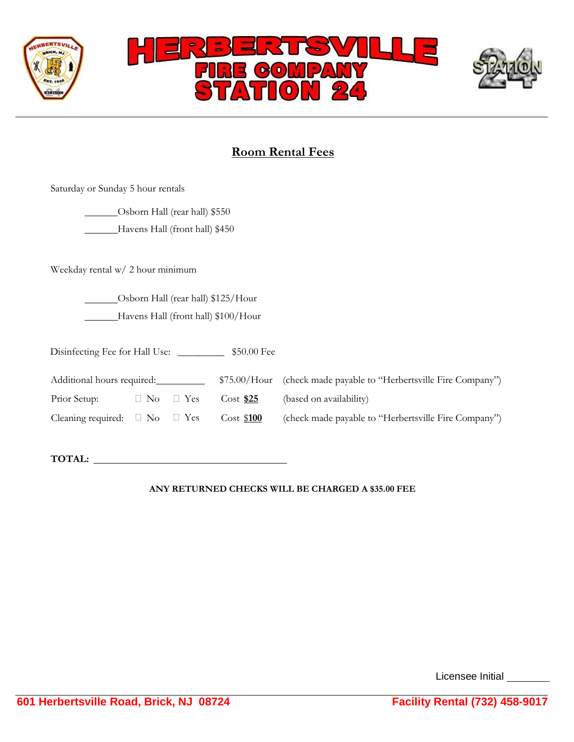

# **Room Rental Fees**

Saturday or Sunday 5 hour rentals

Osborn Hall (rear hall) \$550 Havens Hall (front hall) \$450

Weekday rental w/ 2 hour minimum

Osborn Hall (rear hall) \$125/Hour Havens Hall (front hall) \$100/Hour

Disinfecting Fee for Hall Use: \_\_\_\_\_\_\_\_\_ \$50.00 Fee

| Additional hours required:                    |  |                      | \$75.00/Hour (check made payable to "Herbertsville Fire Company") |                                                      |
|-----------------------------------------------|--|----------------------|-------------------------------------------------------------------|------------------------------------------------------|
| Prior Setup:                                  |  | $\Box$ No $\Box$ Yes | $Cost$ \$25                                                       | (based on availability)                              |
| Cleaning required: $\square$ No $\square$ Yes |  |                      | Cost \$100                                                        | (check made payable to "Herbertsville Fire Company") |

**TOTAL:** 

### **ANY RETURNED CHECKS WILL BE CHARGED A \$35.00 FEE**

Licensee Initial \_\_\_\_\_\_\_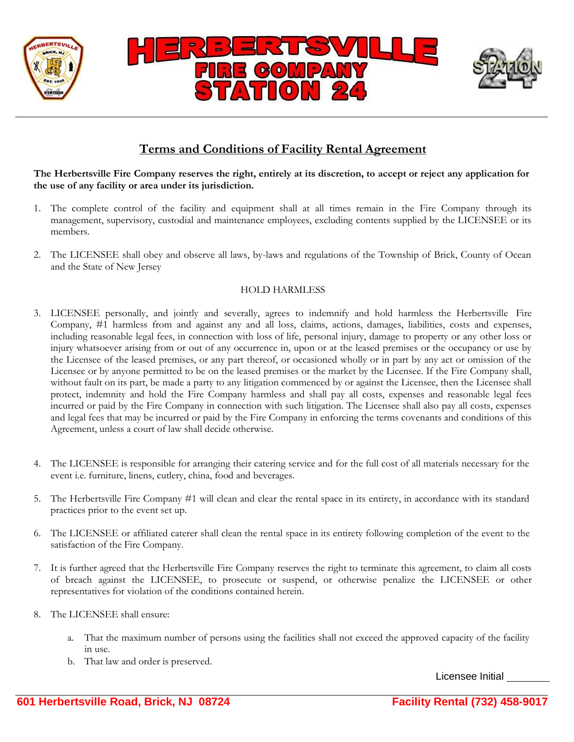

### **Terms and Conditions of Facility Rental Agreement**

The Herbertsville Fire Company reserves the right, entirely at its discretion, to accept or reject any application for **the use of any facility or area under its jurisdiction.**

- 1. The complete control of the facility and equipment shall at all times remain in the Fire Company through its management, supervisory, custodial and maintenance employees, excluding contents supplied by the LICENSEE or its members.
- 2. The LICENSEE shall obey and observe all laws, by-laws and regulations of the Township of Brick, County of Ocean and the State of New Jersey

#### HOLD HARMLESS

- 3. LICENSEE personally, and jointly and severally, agrees to indemnify and hold harmless the Herbertsville Fire Company, #1 harmless from and against any and all loss, claims, actions, damages, liabilities, costs and expenses, including reasonable legal fees, in connection with loss of life, personal injury, damage to property or any other loss or injury whatsoever arising from or out of any occurrence in, upon or at the leased premises or the occupancy or use by the Licensee of the leased premises, or any part thereof, or occasioned wholly or in part by any act or omission of the Licensee or by anyone permitted to be on the leased premises or the market by the Licensee. If the Fire Company shall, without fault on its part, be made a party to any litigation commenced by or against the Licensee, then the Licensee shall protect, indemnity and hold the Fire Company harmless and shall pay all costs, expenses and reasonable legal fees incurred or paid by the Fire Company in connection with such litigation. The Licensee shall also pay all costs, expenses and legal fees that may be incurred or paid by the Fire Company in enforcing the terms covenants and conditions of this Agreement, unless a court of law shall decide otherwise.
- 4. The LICENSEE is responsible for arranging their catering service and for the full cost of all materials necessary for the event i.e. furniture, linens, cutlery, china, food and beverages.
- 5. The Herbertsville Fire Company #1 will clean and clear the rental space in its entirety, in accordance with its standard practices prior to the event set up.
- 6. The LICENSEE or affiliated caterer shall clean the rental space in its entirety following completion of the event to the satisfaction of the Fire Company.
- 7. It is further agreed that the Herbertsville Fire Company reserves the right to terminate this agreement, to claim all costs of breach against the LICENSEE, to prosecute or suspend, or otherwise penalize the LICENSEE or other representatives for violation of the conditions contained herein.
- 8. The LICENSEE shall ensure:
	- a. That the maximum number of persons using the facilities shall not exceed the approved capacity of the facility in use.
	- b. That law and order is preserved.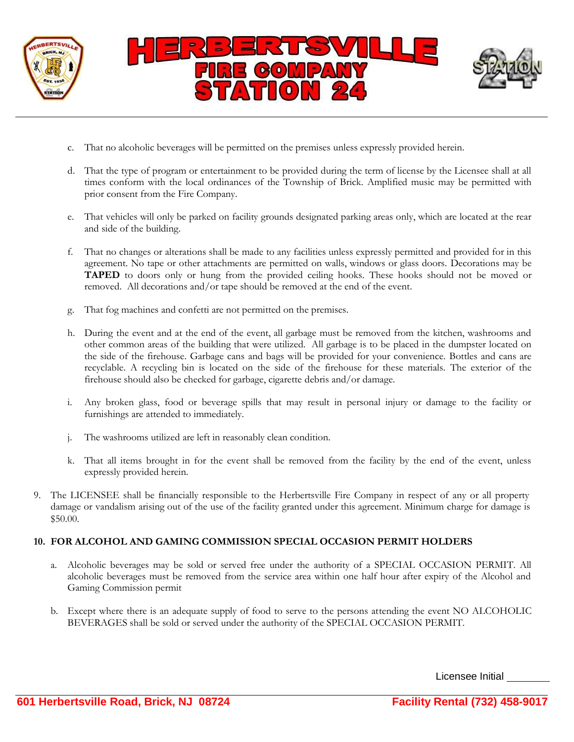

- c. That no alcoholic beverages will be permitted on the premises unless expressly provided herein.
- d. That the type of program or entertainment to be provided during the term of license by the Licensee shall at all times conform with the local ordinances of the Township of Brick. Amplified music may be permitted with prior consent from the Fire Company.
- e. That vehicles will only be parked on facility grounds designated parking areas only, which are located at the rear and side of the building.
- f. That no changes or alterations shall be made to any facilities unless expressly permitted and provided for in this agreement. No tape or other attachments are permitted on walls, windows or glass doors. Decorations may be **TAPED** to doors only or hung from the provided ceiling hooks. These hooks should not be moved or removed. All decorations and/or tape should be removed at the end of the event.
- g. That fog machines and confetti are not permitted on the premises.
- h. During the event and at the end of the event, all garbage must be removed from the kitchen, washrooms and other common areas of the building that were utilized. All garbage is to be placed in the dumpster located on the side of the firehouse. Garbage cans and bags will be provided for your convenience. Bottles and cans are recyclable. A recycling bin is located on the side of the firehouse for these materials. The exterior of the firehouse should also be checked for garbage, cigarette debris and/or damage.
- i. Any broken glass, food or beverage spills that may result in personal injury or damage to the facility or furnishings are attended to immediately.
- j. The washrooms utilized are left in reasonably clean condition.
- k. That all items brought in for the event shall be removed from the facility by the end of the event, unless expressly provided herein.
- 9. The LICENSEE shall be financially responsible to the Herbertsville Fire Company in respect of any or all property damage or vandalism arising out of the use of the facility granted under this agreement. Minimum charge for damage is \$50.00.

### **10. FOR ALCOHOL AND GAMING COMMISSION SPECIAL OCCASION PERMIT HOLDERS**

- a. Alcoholic beverages may be sold or served free under the authority of a SPECIAL OCCASION PERMIT. All alcoholic beverages must be removed from the service area within one half hour after expiry of the Alcohol and Gaming Commission permit
- b. Except where there is an adequate supply of food to serve to the persons attending the event NO ALCOHOLIC BEVERAGES shall be sold or served under the authority of the SPECIAL OCCASION PERMIT.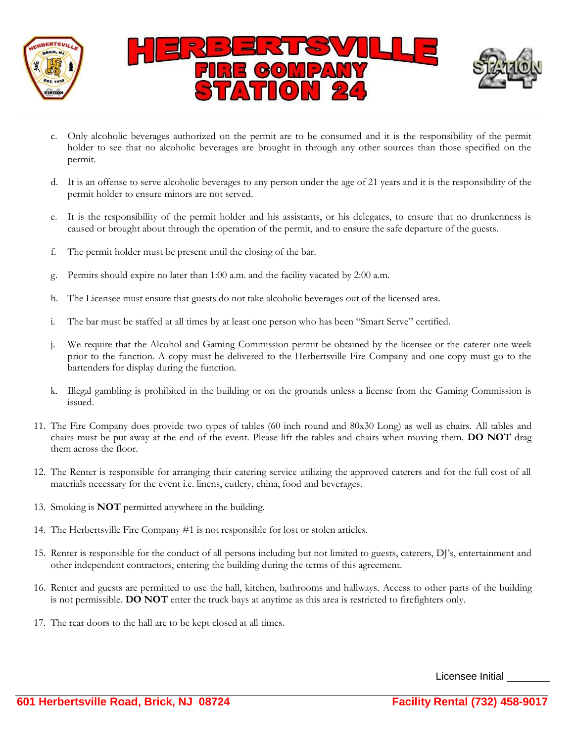

- c. Only alcoholic beverages authorized on the permit are to be consumed and it is the responsibility of the permit holder to see that no alcoholic beverages are brought in through any other sources than those specified on the permit.
- d. It is an offense to serve alcoholic beverages to any person under the age of 21 years and it is the responsibility of the permit holder to ensure minors are not served.
- e. It is the responsibility of the permit holder and his assistants, or his delegates, to ensure that no drunkenness is caused or brought about through the operation of the permit, and to ensure the safe departure of the guests.
- f. The permit holder must be present until the closing of the bar.
- g. Permits should expire no later than 1:00 a.m. and the facility vacated by 2:00 a.m.
- h. The Licensee must ensure that guests do not take alcoholic beverages out of the licensed area.
- i. The bar must be staffed at all times by at least one person who has been "Smart Serve" certified.
- j. We require that the Alcohol and Gaming Commission permit be obtained by the licensee or the caterer one week prior to the function. A copy must be delivered to the Herbertsville Fire Company and one copy must go to the bartenders for display during the function.
- k. Illegal gambling is prohibited in the building or on the grounds unless a license from the Gaming Commission is issued.
- 11. The Fire Company does provide two types of tables (60 inch round and 80x30 Long) as well as chairs. All tables and chairs must be put away at the end of the event. Please lift the tables and chairs when moving them. **DO NOT** drag them across the floor.
- 12. The Renter is responsible for arranging their catering service utilizing the approved caterers and for the full cost of all materials necessary for the event i.e. linens, cutlery, china, food and beverages.
- 13. Smoking is **NOT** permitted anywhere in the building.
- 14. The Herbertsville Fire Company #1 is not responsible for lost or stolen articles.
- 15. Renter is responsible for the conduct of all persons including but not limited to guests, caterers, DJ's, entertainment and other independent contractors, entering the building during the terms of this agreement.
- 16. Renter and guests are permitted to use the hall, kitchen, bathrooms and hallways. Access to other parts of the building is not permissible. **DO NOT** enter the truck bays at anytime as this area is restricted to firefighters only.
- 17. The rear doors to the hall are to be kept closed at all times.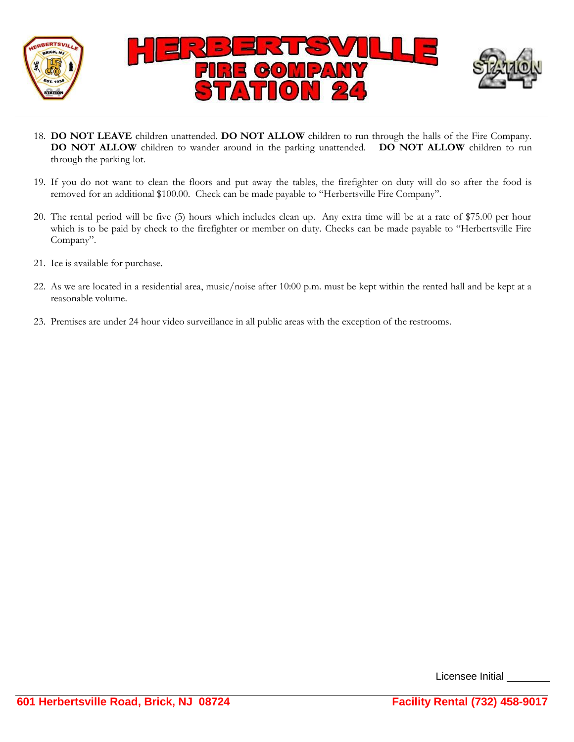

- 18. **DO NOT LEAVE** children unattended. **DO NOT ALLOW** children to run through the halls of the Fire Company. **DO NOT ALLOW** children to wander around in the parking unattended. **DO NOT ALLOW** children to run through the parking lot.
- 19. If you do not want to clean the floors and put away the tables, the firefighter on duty will do so after the food is removed for an additional \$100.00. Check can be made payable to "Herbertsville Fire Company".
- 20. The rental period will be five (5) hours which includes clean up. Any extra time will be at a rate of \$75.00 per hour which is to be paid by check to the firefighter or member on duty. Checks can be made payable to "Herbertsville Fire Company".
- 21. Ice is available for purchase.
- 22. As we are located in a residential area, music/noise after 10:00 p.m. must be kept within the rented hall and be kept at a reasonable volume.
- 23. Premises are under 24 hour video surveillance in all public areas with the exception of the restrooms.